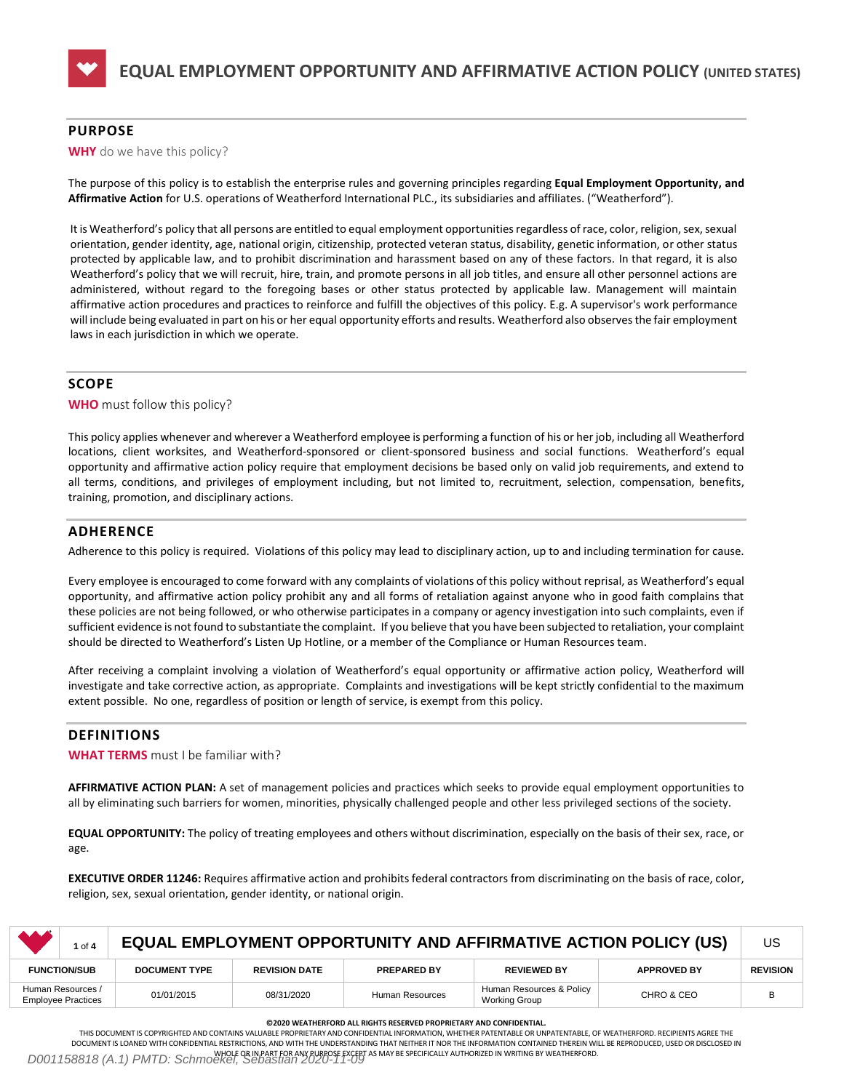

# **PURPOSE**

### **WHY** do we have this policy?

The purpose of this policy is to establish the enterprise rules and governing principles regarding **Equal Employment Opportunity, and Affirmative Action** for U.S. operations of Weatherford International PLC., its subsidiaries and affiliates. ("Weatherford").

It is Weatherford's policy that all persons are entitled to equal employment opportunities regardless of race, color, religion, sex, sexual orientation, gender identity, age, national origin, citizenship, protected veteran status, disability, genetic information, or other status protected by applicable law, and to prohibit discrimination and harassment based on any of these factors. In that regard, it is also Weatherford's policy that we will recruit, hire, train, and promote persons in all job titles, and ensure all other personnel actions are administered, without regard to the foregoing bases or other status protected by applicable law. Management will maintain affirmative action procedures and practices to reinforce and fulfill the objectives of this policy. E.g. A supervisor's work performance will include being evaluated in part on his or her equal opportunity efforts and results. Weatherford also observes the fair employment laws in each jurisdiction in which we operate.

# **SCOPE**

**WHO** must follow this policy?

This policy applies whenever and wherever a Weatherford employee is performing a function of his or her job, including all Weatherford locations, client worksites, and Weatherford-sponsored or client-sponsored business and social functions. Weatherford's equal opportunity and affirmative action policy require that employment decisions be based only on valid job requirements, and extend to all terms, conditions, and privileges of employment including, but not limited to, recruitment, selection, compensation, benefits, training, promotion, and disciplinary actions.

# **ADHERENCE**

Adherence to this policy is required. Violations of this policy may lead to disciplinary action, up to and including termination for cause.

Every employee is encouraged to come forward with any complaints of violations of this policy without reprisal, as Weatherford's equal opportunity, and affirmative action policy prohibit any and all forms of retaliation against anyone who in good faith complains that these policies are not being followed, or who otherwise participates in a company or agency investigation into such complaints, even if sufficient evidence is not found to substantiate the complaint. If you believe that you have been subjected to retaliation, your complaint should be directed to Weatherford's Listen Up Hotline, or a member of the Compliance or Human Resources team.

After receiving a complaint involving a violation of Weatherford's equal opportunity or affirmative action policy, Weatherford will investigate and take corrective action, as appropriate. Complaints and investigations will be kept strictly confidential to the maximum extent possible. No one, regardless of position or length of service, is exempt from this policy.

## **DEFINITIONS**

**WHAT TERMS** must I be familiar with?

**AFFIRMATIVE ACTION PLAN:** A set of management policies and practices which seeks to provide equal employment opportunities to all by eliminating such barriers for women, minorities, physically challenged people and other less privileged sections of the society.

**EQUAL OPPORTUNITY:** The policy of treating employees and others without discrimination, especially on the basis of their sex, race, or age.

**EXECUTIVE ORDER 11246:** Requires affirmative action and prohibits federal contractors from discriminating on the basis of race, color, religion, sex, sexual orientation, gender identity, or national origin.

| <b>MAG</b>                                     | $1$ of $4$ | EQUAL EMPLOYMENT OPPORTUNITY AND AFFIRMATIVE ACTION POLICY (US) |                      |                    |                                           |                    |                 |
|------------------------------------------------|------------|-----------------------------------------------------------------|----------------------|--------------------|-------------------------------------------|--------------------|-----------------|
| <b>FUNCTION/SUB</b>                            |            | <b>DOCUMENT TYPE</b>                                            | <b>REVISION DATE</b> | <b>PREPARED BY</b> | <b>REVIEWED BY</b>                        | <b>APPROVED BY</b> | <b>REVISION</b> |
| Human Resources /<br><b>Employee Practices</b> |            | 01/01/2015                                                      | 08/31/2020           | Human Resources    | Human Resources & Policy<br>Working Group | CHRO & CEO         | B               |

#### **©2020 WEATHERFORD ALL RIGHTS RESERVED PROPRIETARY AND CONFIDENTIAL.**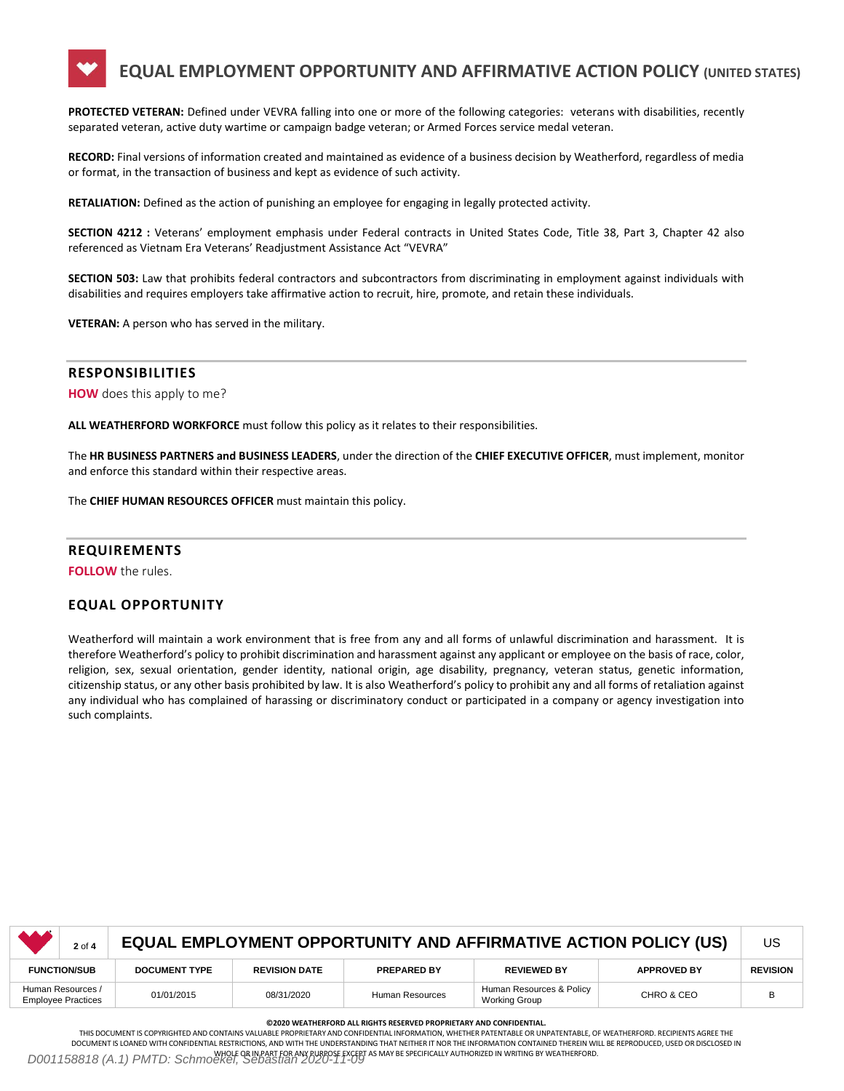# **EQUAL EMPLOYMENT OPPORTUNITY AND AFFIRMATIVE ACTION POLICY (UNITED STATES)**

**PROTECTED VETERAN:** Defined under VEVRA falling into one or more of the following categories: veterans with disabilities, recently separated veteran, active duty wartime or campaign badge veteran; or Armed Forces service medal veteran.

**RECORD:** Final versions of information created and maintained as evidence of a business decision by Weatherford, regardless of media or format, in the transaction of business and kept as evidence of such activity.

**RETALIATION:** Defined as the action of punishing an employee for engaging in legally protected activity.

**SECTION 4212 :** Veterans' employment emphasis under Federal contracts in United States Code, Title 38, Part 3, Chapter 42 also referenced as Vietnam Era Veterans' Readjustment Assistance Act "VEVRA"

**SECTION 503:** Law that prohibits federal contractors and subcontractors from discriminating in employment against individuals with disabilities and requires employers take affirmative action to recruit, hire, promote, and retain these individuals.

**VETERAN:** A person who has served in the military.

### **RESPONSIBILITIES**

**HOW** does this apply to me?

**ALL WEATHERFORD WORKFORCE** must follow this policy as it relates to their responsibilities.

The **HR BUSINESS PARTNERS and BUSINESS LEADERS**, under the direction of the **CHIEF EXECUTIVE OFFICER**, must implement, monitor and enforce this standard within their respective areas.

The **CHIEF HUMAN RESOURCES OFFICER** must maintain this policy.

### **REQUIREMENTS**

**FOLLOW** the rules.

## **EQUAL OPPORTUNITY**

Weatherford will maintain a work environment that is free from any and all forms of unlawful discrimination and harassment. It is therefore Weatherford's policy to prohibit discrimination and harassment against any applicant or employee on the basis of race, color, religion, sex, sexual orientation, gender identity, national origin, age disability, pregnancy, veteran status, genetic information, citizenship status, or any other basis prohibited by law. It is also Weatherford's policy to prohibit any and all forms of retaliation against any individual who has complained of harassing or discriminatory conduct or participated in a company or agency investigation into such complaints.

|                     | $2$ of $4$                                     | EQUAL EMPLOYMENT OPPORTUNITY AND AFFIRMATIVE ACTION POLICY (US) |                      |                    |                                           |                    |                 |  |
|---------------------|------------------------------------------------|-----------------------------------------------------------------|----------------------|--------------------|-------------------------------------------|--------------------|-----------------|--|
| <b>FUNCTION/SUB</b> |                                                | <b>DOCUMENT TYPE</b>                                            | <b>REVISION DATE</b> | <b>PREPARED BY</b> | <b>REVIEWED BY</b>                        | <b>APPROVED BY</b> | <b>REVISION</b> |  |
|                     | Human Resources /<br><b>Employee Practices</b> | 01/01/2015                                                      | 08/31/2020           | Human Resources    | Human Resources & Policy<br>Working Group | CHRO & CEO         | B               |  |

#### **©2020 WEATHERFORD ALL RIGHTS RESERVED PROPRIETARY AND CONFIDENTIAL.**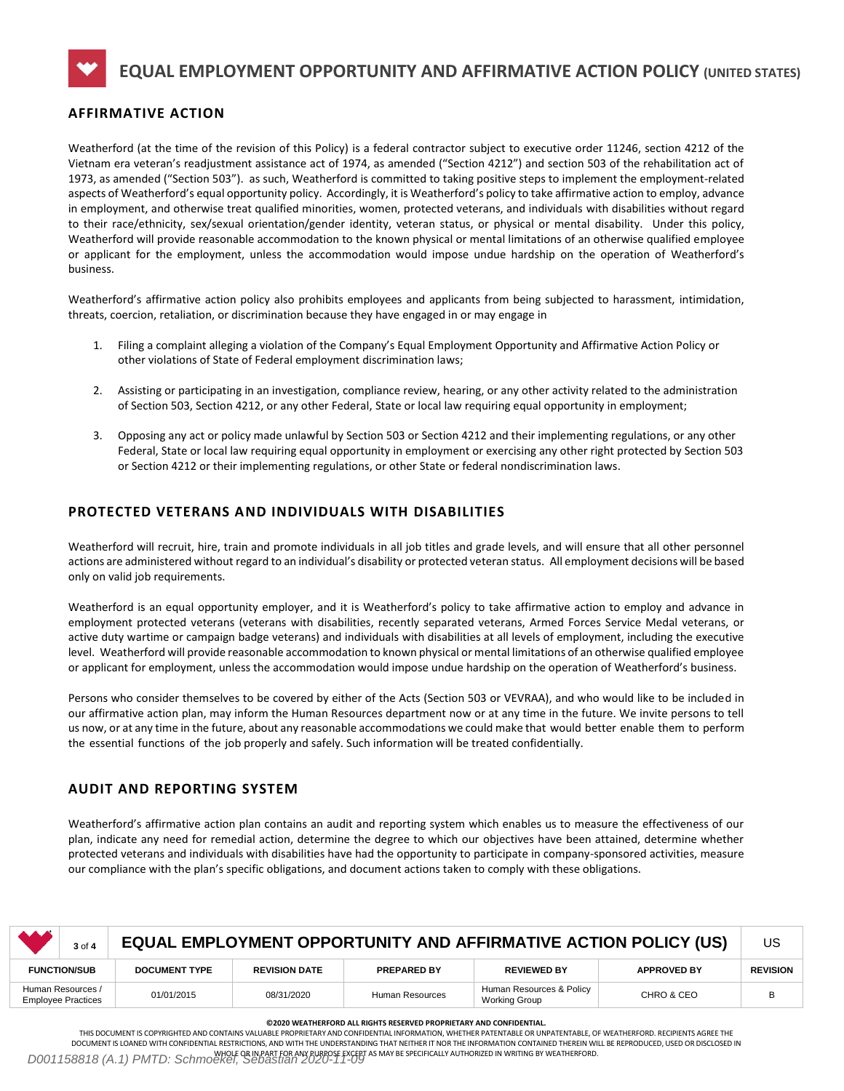**EQUAL EMPLOYMENT OPPORTUNITY AND AFFIRMATIVE ACTION POLICY (UNITED STATES)**

# **AFFIRMATIVE ACTION**

Weatherford (at the time of the revision of this Policy) is a federal contractor subject to executive order 11246, section 4212 of the Vietnam era veteran's readjustment assistance act of 1974, as amended ("Section 4212") and section 503 of the rehabilitation act of 1973, as amended ("Section 503"). as such, Weatherford is committed to taking positive steps to implement the employment-related aspects of Weatherford's equal opportunity policy. Accordingly, it is Weatherford's policy to take affirmative action to employ, advance in employment, and otherwise treat qualified minorities, women, protected veterans, and individuals with disabilities without regard to their race/ethnicity, sex/sexual orientation/gender identity, veteran status, or physical or mental disability. Under this policy, Weatherford will provide reasonable accommodation to the known physical or mental limitations of an otherwise qualified employee or applicant for the employment, unless the accommodation would impose undue hardship on the operation of Weatherford's business.

Weatherford's affirmative action policy also prohibits employees and applicants from being subjected to harassment, intimidation, threats, coercion, retaliation, or discrimination because they have engaged in or may engage in

- 1. Filing a complaint alleging a violation of the Company's Equal Employment Opportunity and Affirmative Action Policy or other violations of State of Federal employment discrimination laws;
- 2. Assisting or participating in an investigation, compliance review, hearing, or any other activity related to the administration of Section 503, Section 4212, or any other Federal, State or local law requiring equal opportunity in employment;
- 3. Opposing any act or policy made unlawful by Section 503 or Section 4212 and their implementing regulations, or any other Federal, State or local law requiring equal opportunity in employment or exercising any other right protected by Section 503 or Section 4212 or their implementing regulations, or other State or federal nondiscrimination laws.

# **PROTECTED VETERANS AND INDIVIDUALS WITH DISABILITIES**

Weatherford will recruit, hire, train and promote individuals in all job titles and grade levels, and will ensure that all other personnel actions are administered without regard to an individual's disability or protected veteran status. All employment decisions will be based only on valid job requirements.

Weatherford is an equal opportunity employer, and it is Weatherford's policy to take affirmative action to employ and advance in employment protected veterans (veterans with disabilities, recently separated veterans, Armed Forces Service Medal veterans, or active duty wartime or campaign badge veterans) and individuals with disabilities at all levels of employment, including the executive level. Weatherford will provide reasonable accommodation to known physical or mental limitations of an otherwise qualified employee or applicant for employment, unless the accommodation would impose undue hardship on the operation of Weatherford's business.

Persons who consider themselves to be covered by either of the Acts (Section 503 or VEVRAA), and who would like to be included in our affirmative action plan, may inform the Human Resources department now or at any time in the future. We invite persons to tell us now, or at any time in the future, about any reasonable accommodations we could make that would better enable them to perform the essential functions of the job properly and safely. Such information will be treated confidentially.

# **AUDIT AND REPORTING SYSTEM**

Weatherford's affirmative action plan contains an audit and reporting system which enables us to measure the effectiveness of our plan, indicate any need for remedial action, determine the degree to which our objectives have been attained, determine whether protected veterans and individuals with disabilities have had the opportunity to participate in company-sponsored activities, measure our compliance with the plan's specific obligations, and document actions taken to comply with these obligations.

| <b>AAA</b>                                     | 3 of 4 | <b>EQUAL EMPLOYMENT OPPORTUNITY AND AFFIRMATIVE ACTION POLICY (US)</b> |                      |                    |                                                  |                    |                 |
|------------------------------------------------|--------|------------------------------------------------------------------------|----------------------|--------------------|--------------------------------------------------|--------------------|-----------------|
| <b>FUNCTION/SUB</b>                            |        | <b>DOCUMENT TYPE</b>                                                   | <b>REVISION DATE</b> | <b>PREPARED BY</b> | <b>REVIEWED BY</b>                               | <b>APPROVED BY</b> | <b>REVISION</b> |
| Human Resources /<br><b>Employee Practices</b> |        | 01/01/2015                                                             | 08/31/2020           | Human Resources    | Human Resources & Policy<br><b>Working Group</b> | CHRO & CEO         | B               |

#### **©2020 WEATHERFORD ALL RIGHTS RESERVED PROPRIETARY AND CONFIDENTIAL.**